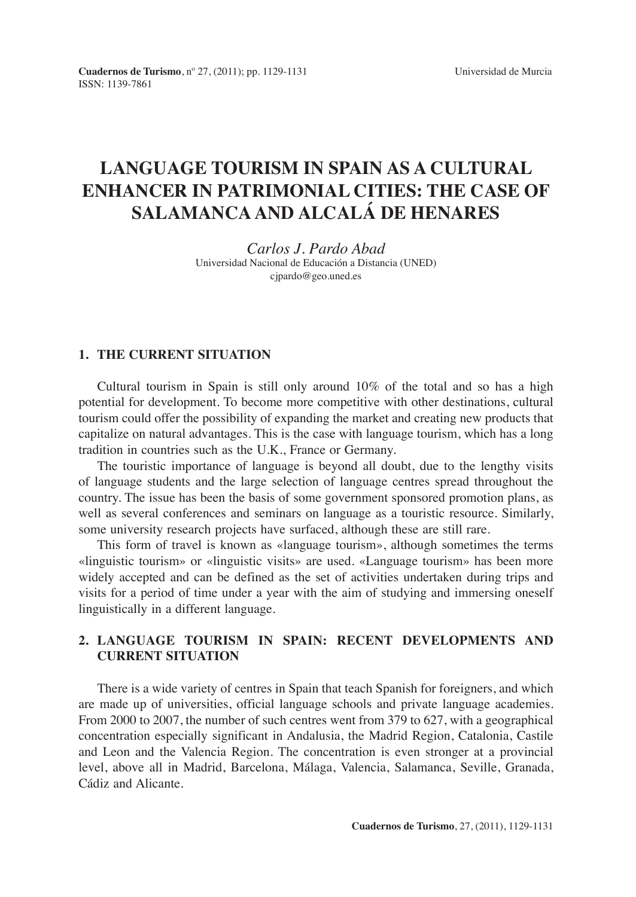# **LANGUAGE TOURISM IN SPAIN AS A CULTURAL ENHANCER IN PATRIMONIAL CITIES: THE CASE OF SALAMANCA AND ALCALÁ DE HENARES**

*Carlos J. Pardo Abad* Universidad Nacional de Educación a Distancia (UNED) cjpardo@geo.uned.es

#### **1. THE CURRENT SITUATION**

Cultural tourism in Spain is still only around 10% of the total and so has a high potential for development. To become more competitive with other destinations, cultural tourism could offer the possibility of expanding the market and creating new products that capitalize on natural advantages. This is the case with language tourism, which has a long tradition in countries such as the U.K., France or Germany.

The touristic importance of language is beyond all doubt, due to the lengthy visits of language students and the large selection of language centres spread throughout the country. The issue has been the basis of some government sponsored promotion plans, as well as several conferences and seminars on language as a touristic resource. Similarly, some university research projects have surfaced, although these are still rare.

This form of travel is known as «language tourism», although sometimes the terms «linguistic tourism» or «linguistic visits» are used. «Language tourism» has been more widely accepted and can be defined as the set of activities undertaken during trips and visits for a period of time under a year with the aim of studying and immersing oneself linguistically in a different language.

# **2. LANGUAGE TOURISM IN SPAIN: RECENT DEVELOPMENTS AND CURRENT SITUATION**

There is a wide variety of centres in Spain that teach Spanish for foreigners, and which are made up of universities, official language schools and private language academies. From 2000 to 2007, the number of such centres went from 379 to 627, with a geographical concentration especially significant in Andalusia, the Madrid Region, Catalonia, Castile and Leon and the Valencia Region. The concentration is even stronger at a provincial level, above all in Madrid, Barcelona, Málaga, Valencia, Salamanca, Seville, Granada, Cádiz and Alicante.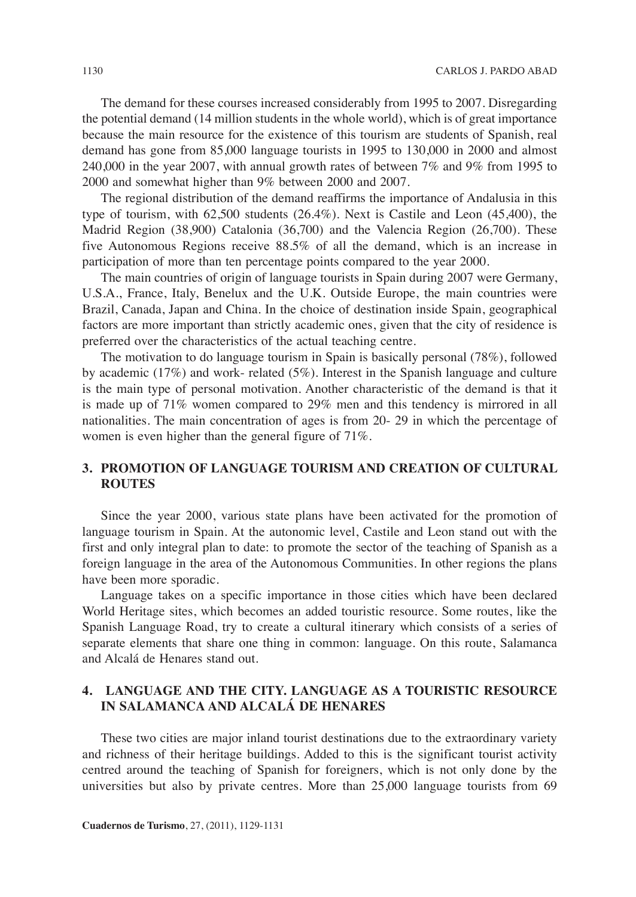The demand for these courses increased considerably from 1995 to 2007. Disregarding the potential demand (14 million students in the whole world), which is of great importance because the main resource for the existence of this tourism are students of Spanish, real demand has gone from 85,000 language tourists in 1995 to 130,000 in 2000 and almost 240,000 in the year 2007, with annual growth rates of between 7% and 9% from 1995 to 2000 and somewhat higher than 9% between 2000 and 2007.

The regional distribution of the demand reaffirms the importance of Andalusia in this type of tourism, with 62,500 students (26.4%). Next is Castile and Leon (45,400), the Madrid Region (38,900) Catalonia (36,700) and the Valencia Region (26,700). These five Autonomous Regions receive 88.5% of all the demand, which is an increase in participation of more than ten percentage points compared to the year 2000.

The main countries of origin of language tourists in Spain during 2007 were Germany, U.S.A., France, Italy, Benelux and the U.K. Outside Europe, the main countries were Brazil, Canada, Japan and China. In the choice of destination inside Spain, geographical factors are more important than strictly academic ones, given that the city of residence is preferred over the characteristics of the actual teaching centre.

The motivation to do language tourism in Spain is basically personal (78%), followed by academic (17%) and work- related (5%). Interest in the Spanish language and culture is the main type of personal motivation. Another characteristic of the demand is that it is made up of 71% women compared to 29% men and this tendency is mirrored in all nationalities. The main concentration of ages is from 20- 29 in which the percentage of women is even higher than the general figure of 71%.

### **3. PROMOTION OF LANGUAGE TOURISM AND CREATION OF CULTURAL ROUTES**

Since the year 2000, various state plans have been activated for the promotion of language tourism in Spain. At the autonomic level, Castile and Leon stand out with the first and only integral plan to date: to promote the sector of the teaching of Spanish as a foreign language in the area of the Autonomous Communities. In other regions the plans have been more sporadic.

Language takes on a specific importance in those cities which have been declared World Heritage sites, which becomes an added touristic resource. Some routes, like the Spanish Language Road, try to create a cultural itinerary which consists of a series of separate elements that share one thing in common: language. On this route, Salamanca and Alcalá de Henares stand out.

### **4. LANGUAGE AND THE CITY. LANGUAGE AS A TOURISTIC RESOURCE IN SALAMANCA AND ALCALÁ DE HENARES**

These two cities are major inland tourist destinations due to the extraordinary variety and richness of their heritage buildings. Added to this is the significant tourist activity centred around the teaching of Spanish for foreigners, which is not only done by the universities but also by private centres. More than 25,000 language tourists from 69